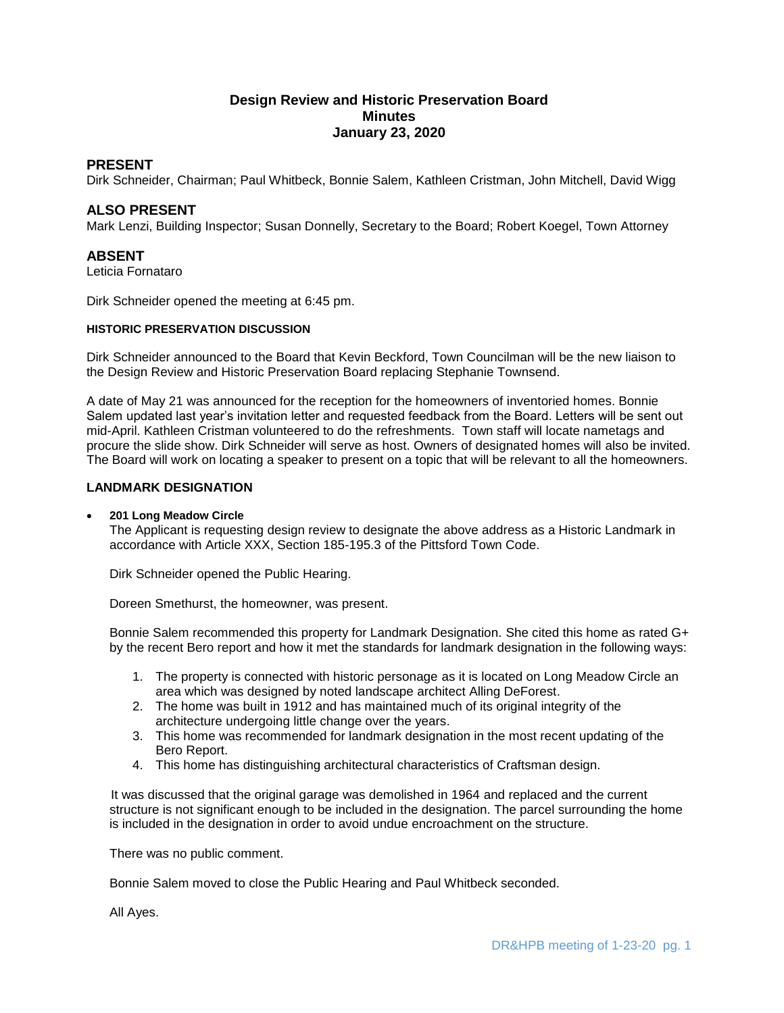# **Design Review and Historic Preservation Board Minutes January 23, 2020**

# **PRESENT**

Dirk Schneider, Chairman; Paul Whitbeck, Bonnie Salem, Kathleen Cristman, John Mitchell, David Wigg

# **ALSO PRESENT**

Mark Lenzi, Building Inspector; Susan Donnelly, Secretary to the Board; Robert Koegel, Town Attorney

### **ABSENT**

Leticia Fornataro

Dirk Schneider opened the meeting at 6:45 pm.

#### **HISTORIC PRESERVATION DISCUSSION**

Dirk Schneider announced to the Board that Kevin Beckford, Town Councilman will be the new liaison to the Design Review and Historic Preservation Board replacing Stephanie Townsend.

A date of May 21 was announced for the reception for the homeowners of inventoried homes. Bonnie Salem updated last year's invitation letter and requested feedback from the Board. Letters will be sent out mid-April. Kathleen Cristman volunteered to do the refreshments. Town staff will locate nametags and procure the slide show. Dirk Schneider will serve as host. Owners of designated homes will also be invited. The Board will work on locating a speaker to present on a topic that will be relevant to all the homeowners.

### **LANDMARK DESIGNATION**

#### **201 Long Meadow Circle**

The Applicant is requesting design review to designate the above address as a Historic Landmark in accordance with Article XXX, Section 185-195.3 of the Pittsford Town Code.

Dirk Schneider opened the Public Hearing.

Doreen Smethurst, the homeowner, was present.

Bonnie Salem recommended this property for Landmark Designation. She cited this home as rated G+ by the recent Bero report and how it met the standards for landmark designation in the following ways:

- 1. The property is connected with historic personage as it is located on Long Meadow Circle an area which was designed by noted landscape architect Alling DeForest.
- 2. The home was built in 1912 and has maintained much of its original integrity of the architecture undergoing little change over the years.
- 3. This home was recommended for landmark designation in the most recent updating of the Bero Report.
- 4. This home has distinguishing architectural characteristics of Craftsman design.

 It was discussed that the original garage was demolished in 1964 and replaced and the current structure is not significant enough to be included in the designation. The parcel surrounding the home is included in the designation in order to avoid undue encroachment on the structure.

There was no public comment.

Bonnie Salem moved to close the Public Hearing and Paul Whitbeck seconded.

All Ayes.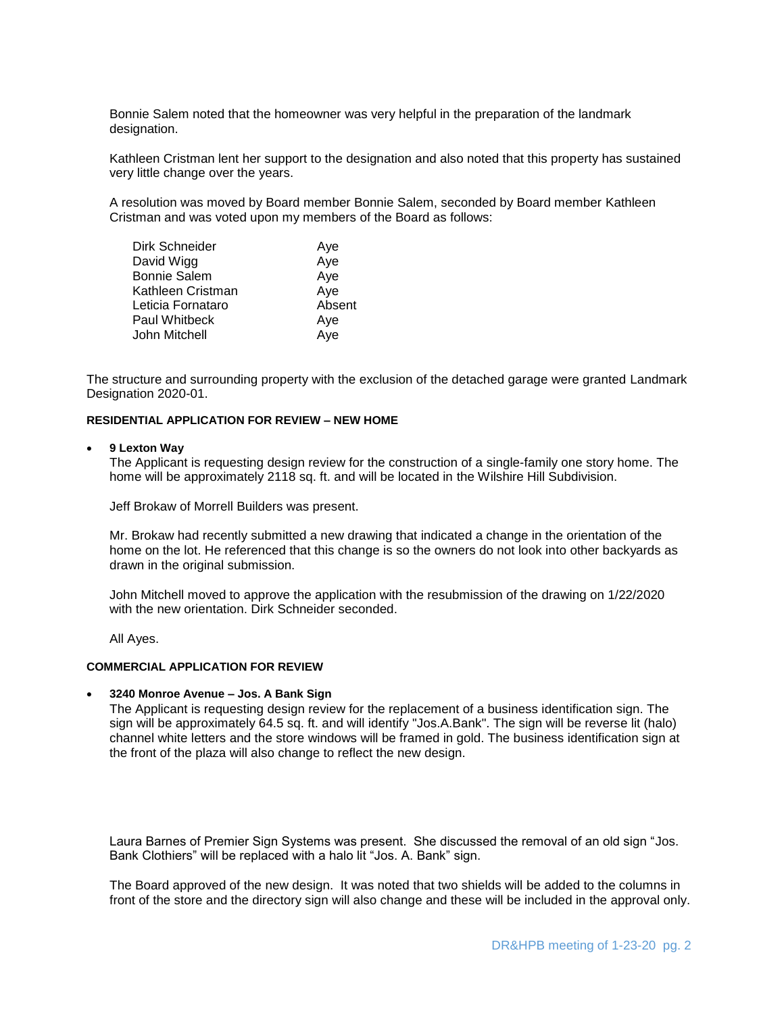Bonnie Salem noted that the homeowner was very helpful in the preparation of the landmark designation.

Kathleen Cristman lent her support to the designation and also noted that this property has sustained very little change over the years.

A resolution was moved by Board member Bonnie Salem, seconded by Board member Kathleen Cristman and was voted upon my members of the Board as follows:

| Dirk Schneider      | Aye    |
|---------------------|--------|
| David Wigg          | Aye    |
| <b>Bonnie Salem</b> | Aye    |
| Kathleen Cristman   | Aye    |
| Leticia Fornataro   | Absent |
| Paul Whitbeck       | Aye    |
| John Mitchell       | Aye    |
|                     |        |

The structure and surrounding property with the exclusion of the detached garage were granted Landmark Designation 2020-01.

### **RESIDENTIAL APPLICATION FOR REVIEW – NEW HOME**

#### **9 Lexton Way**

The Applicant is requesting design review for the construction of a single-family one story home. The home will be approximately 2118 sq. ft. and will be located in the Wilshire Hill Subdivision.

Jeff Brokaw of Morrell Builders was present.

Mr. Brokaw had recently submitted a new drawing that indicated a change in the orientation of the home on the lot. He referenced that this change is so the owners do not look into other backyards as drawn in the original submission.

John Mitchell moved to approve the application with the resubmission of the drawing on 1/22/2020 with the new orientation. Dirk Schneider seconded.

All Ayes.

# **COMMERCIAL APPLICATION FOR REVIEW**

#### **3240 Monroe Avenue – Jos. A Bank Sign**

The Applicant is requesting design review for the replacement of a business identification sign. The sign will be approximately 64.5 sq. ft. and will identify "Jos.A.Bank". The sign will be reverse lit (halo) channel white letters and the store windows will be framed in gold. The business identification sign at the front of the plaza will also change to reflect the new design.

Laura Barnes of Premier Sign Systems was present. She discussed the removal of an old sign "Jos. Bank Clothiers" will be replaced with a halo lit "Jos. A. Bank" sign.

The Board approved of the new design. It was noted that two shields will be added to the columns in front of the store and the directory sign will also change and these will be included in the approval only.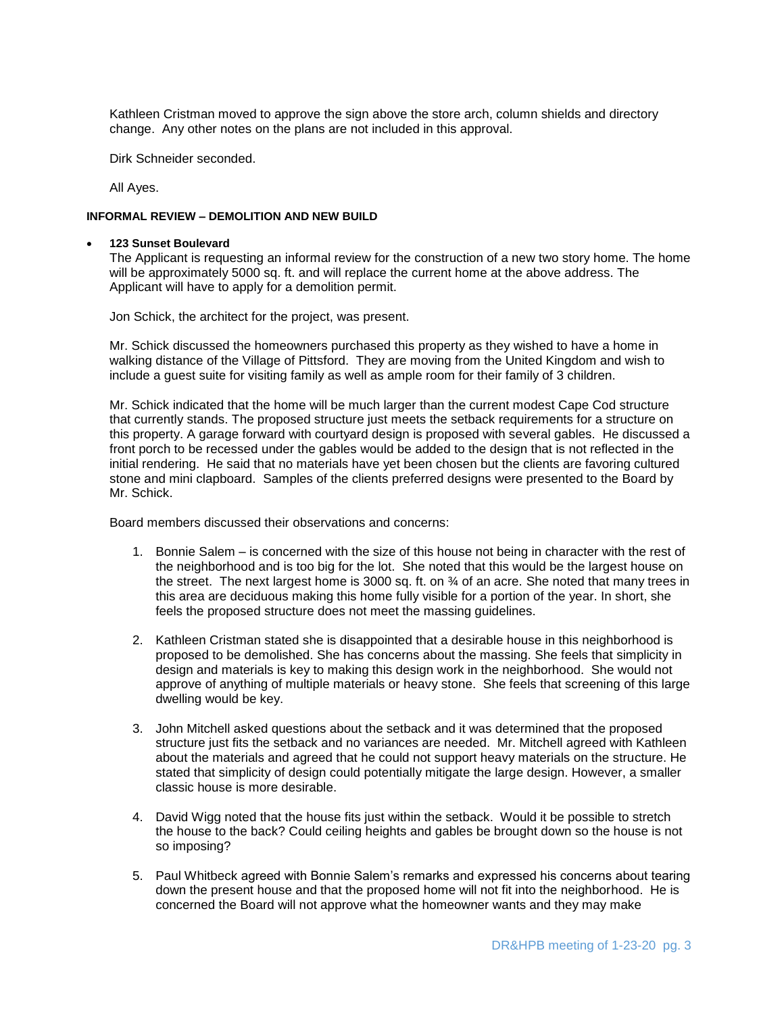Kathleen Cristman moved to approve the sign above the store arch, column shields and directory change. Any other notes on the plans are not included in this approval.

Dirk Schneider seconded.

All Ayes.

#### **INFORMAL REVIEW – DEMOLITION AND NEW BUILD**

#### **123 Sunset Boulevard**

The Applicant is requesting an informal review for the construction of a new two story home. The home will be approximately 5000 sq. ft. and will replace the current home at the above address. The Applicant will have to apply for a demolition permit.

Jon Schick, the architect for the project, was present.

Mr. Schick discussed the homeowners purchased this property as they wished to have a home in walking distance of the Village of Pittsford. They are moving from the United Kingdom and wish to include a guest suite for visiting family as well as ample room for their family of 3 children.

Mr. Schick indicated that the home will be much larger than the current modest Cape Cod structure that currently stands. The proposed structure just meets the setback requirements for a structure on this property. A garage forward with courtyard design is proposed with several gables. He discussed a front porch to be recessed under the gables would be added to the design that is not reflected in the initial rendering. He said that no materials have yet been chosen but the clients are favoring cultured stone and mini clapboard. Samples of the clients preferred designs were presented to the Board by Mr. Schick.

Board members discussed their observations and concerns:

- 1. Bonnie Salem is concerned with the size of this house not being in character with the rest of the neighborhood and is too big for the lot. She noted that this would be the largest house on the street. The next largest home is 3000 sq. ft. on ¾ of an acre. She noted that many trees in this area are deciduous making this home fully visible for a portion of the year. In short, she feels the proposed structure does not meet the massing guidelines.
- 2. Kathleen Cristman stated she is disappointed that a desirable house in this neighborhood is proposed to be demolished. She has concerns about the massing. She feels that simplicity in design and materials is key to making this design work in the neighborhood. She would not approve of anything of multiple materials or heavy stone. She feels that screening of this large dwelling would be key.
- 3. John Mitchell asked questions about the setback and it was determined that the proposed structure just fits the setback and no variances are needed. Mr. Mitchell agreed with Kathleen about the materials and agreed that he could not support heavy materials on the structure. He stated that simplicity of design could potentially mitigate the large design. However, a smaller classic house is more desirable.
- 4. David Wigg noted that the house fits just within the setback. Would it be possible to stretch the house to the back? Could ceiling heights and gables be brought down so the house is not so imposing?
- 5. Paul Whitbeck agreed with Bonnie Salem's remarks and expressed his concerns about tearing down the present house and that the proposed home will not fit into the neighborhood. He is concerned the Board will not approve what the homeowner wants and they may make